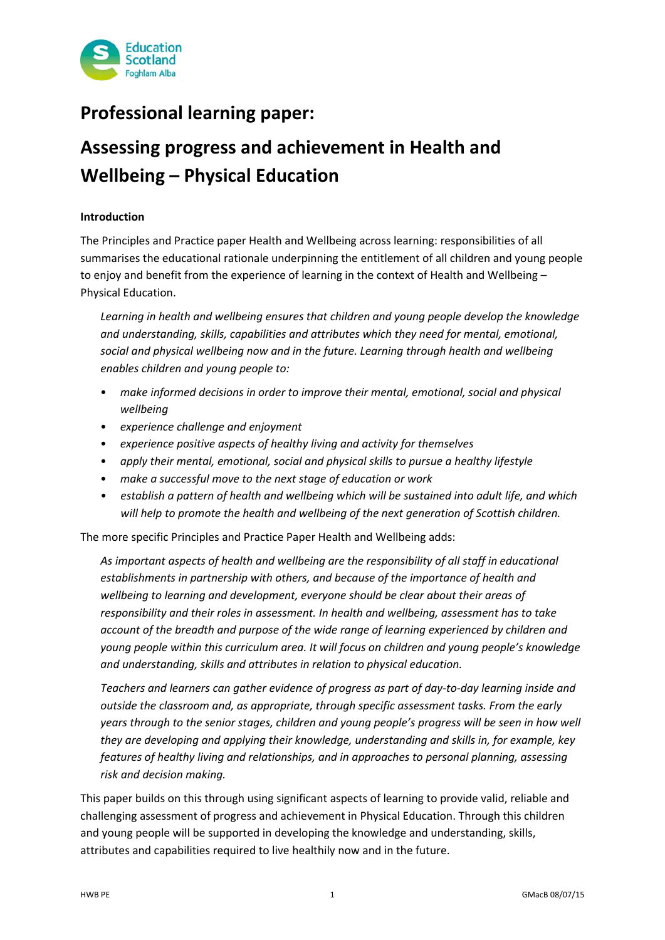

## **Professional learning paper:**

# **Assessing progress and achievement in Health and Wellbeing – Physical Education**

#### **Introduction**

The Principles and Practice paper Health and Wellbeing across learning: responsibilities of all summarises the educational rationale underpinning the entitlement of all children and young people to enjoy and benefit from the experience of learning in the context of Health and Wellbeing – Physical Education.

*Learning in health and wellbeing ensures that children and young people develop the knowledge and understanding, skills, capabilities and attributes which they need for mental, emotional, social and physical wellbeing now and in the future. Learning through health and wellbeing enables children and young people to:* 

- *make informed decisions in order to improve their mental, emotional, social and physical wellbeing*
- *experience challenge and enjoyment*
- *experience positive aspects of healthy living and activity for themselves*
- *apply their mental, emotional, social and physical skills to pursue a healthy lifestyle*
- *make a successful move to the next stage of education or work*
- *establish a pattern of health and wellbeing which will be sustained into adult life, and which will help to promote the health and wellbeing of the next generation of Scottish children.*

The more specific Principles and Practice Paper Health and Wellbeing adds:

*As important aspects of health and wellbeing are the responsibility of all staff in educational establishments in partnership with others, and because of the importance of health and wellbeing to learning and development, everyone should be clear about their areas of responsibility and their roles in assessment. In health and wellbeing, assessment has to take account of the breadth and purpose of the wide range of learning experienced by children and young people within this curriculum area. It will focus on children and young people's knowledge and understanding, skills and attributes in relation to physical education.*

*Teachers and learners can gather evidence of progress as part of day-to-day learning inside and outside the classroom and, as appropriate, through specific assessment tasks. From the early years through to the senior stages, children and young people's progress will be seen in how well they are developing and applying their knowledge, understanding and skills in, for example, key features of healthy living and relationships, and in approaches to personal planning, assessing risk and decision making.*

This paper builds on this through using significant aspects of learning to provide valid, reliable and challenging assessment of progress and achievement in Physical Education. Through this children and young people will be supported in developing the knowledge and understanding, skills, attributes and capabilities required to live healthily now and in the future.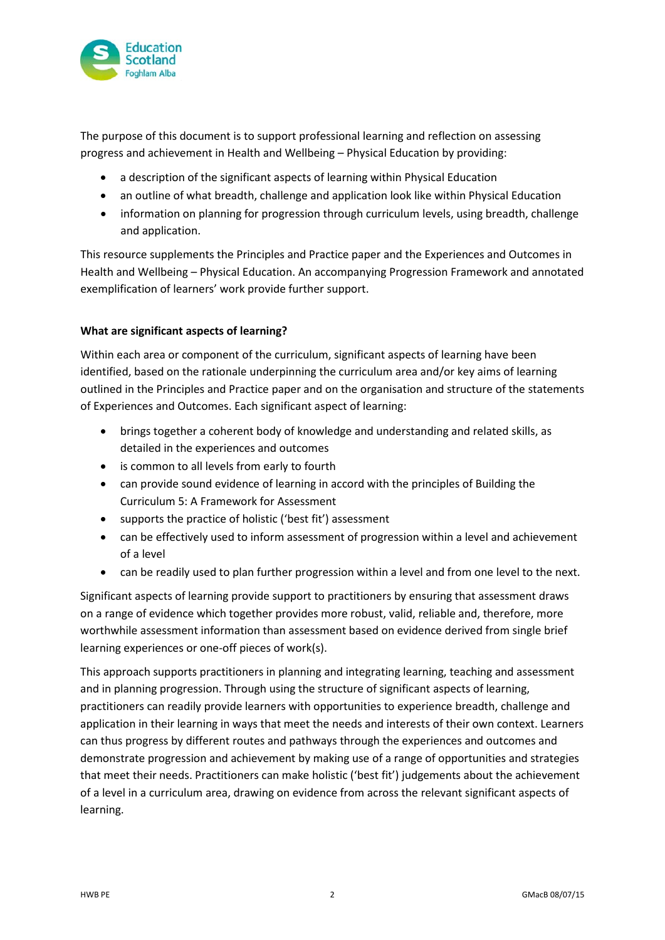

The purpose of this document is to support professional learning and reflection on assessing progress and achievement in Health and Wellbeing – Physical Education by providing:

- a description of the significant aspects of learning within Physical Education
- an outline of what breadth, challenge and application look like within Physical Education
- information on planning for progression through curriculum levels, using breadth, challenge and application.

This resource supplements the Principles and Practice paper and the Experiences and Outcomes in Health and Wellbeing – Physical Education. An accompanying Progression Framework and annotated exemplification of learners' work provide further support.

#### **What are significant aspects of learning?**

Within each area or component of the curriculum, significant aspects of learning have been identified, based on the rationale underpinning the curriculum area and/or key aims of learning outlined in the Principles and Practice paper and on the organisation and structure of the statements of Experiences and Outcomes. Each significant aspect of learning:

- brings together a coherent body of knowledge and understanding and related skills, as detailed in the experiences and outcomes
- is common to all levels from early to fourth
- can provide sound evidence of learning in accord with the principles of Building the Curriculum 5: A Framework for Assessment
- supports the practice of holistic ('best fit') assessment
- can be effectively used to inform assessment of progression within a level and achievement of a level
- can be readily used to plan further progression within a level and from one level to the next.

Significant aspects of learning provide support to practitioners by ensuring that assessment draws on a range of evidence which together provides more robust, valid, reliable and, therefore, more worthwhile assessment information than assessment based on evidence derived from single brief learning experiences or one-off pieces of work(s).

This approach supports practitioners in planning and integrating learning, teaching and assessment and in planning progression. Through using the structure of significant aspects of learning, practitioners can readily provide learners with opportunities to experience breadth, challenge and application in their learning in ways that meet the needs and interests of their own context. Learners can thus progress by different routes and pathways through the experiences and outcomes and demonstrate progression and achievement by making use of a range of opportunities and strategies that meet their needs. Practitioners can make holistic ('best fit') judgements about the achievement of a level in a curriculum area, drawing on evidence from across the relevant significant aspects of learning.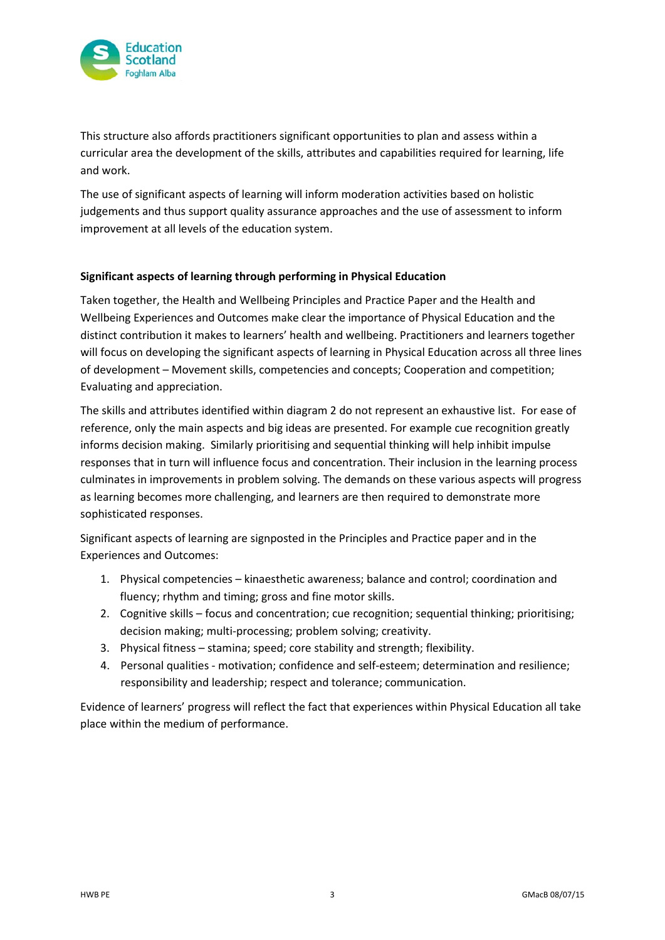

This structure also affords practitioners significant opportunities to plan and assess within a curricular area the development of the skills, attributes and capabilities required for learning, life and work.

The use of significant aspects of learning will inform moderation activities based on holistic judgements and thus support quality assurance approaches and the use of assessment to inform improvement at all levels of the education system.

#### **Significant aspects of learning through performing in Physical Education**

Taken together, the Health and Wellbeing Principles and Practice Paper and the Health and Wellbeing Experiences and Outcomes make clear the importance of Physical Education and the distinct contribution it makes to learners' health and wellbeing. Practitioners and learners together will focus on developing the significant aspects of learning in Physical Education across all three lines of development – Movement skills, competencies and concepts; Cooperation and competition; Evaluating and appreciation.

The skills and attributes identified within diagram 2 do not represent an exhaustive list. For ease of reference, only the main aspects and big ideas are presented. For example cue recognition greatly informs decision making. Similarly prioritising and sequential thinking will help inhibit impulse responses that in turn will influence focus and concentration. Their inclusion in the learning process culminates in improvements in problem solving. The demands on these various aspects will progress as learning becomes more challenging, and learners are then required to demonstrate more sophisticated responses.

Significant aspects of learning are signposted in the Principles and Practice paper and in the Experiences and Outcomes:

- 1. Physical competencies kinaesthetic awareness; balance and control; coordination and fluency; rhythm and timing; gross and fine motor skills.
- 2. Cognitive skills focus and concentration; cue recognition; sequential thinking; prioritising; decision making; multi-processing; problem solving; creativity.
- 3. Physical fitness stamina; speed; core stability and strength; flexibility.
- 4. Personal qualities motivation; confidence and self-esteem; determination and resilience; responsibility and leadership; respect and tolerance; communication.

Evidence of learners' progress will reflect the fact that experiences within Physical Education all take place within the medium of performance.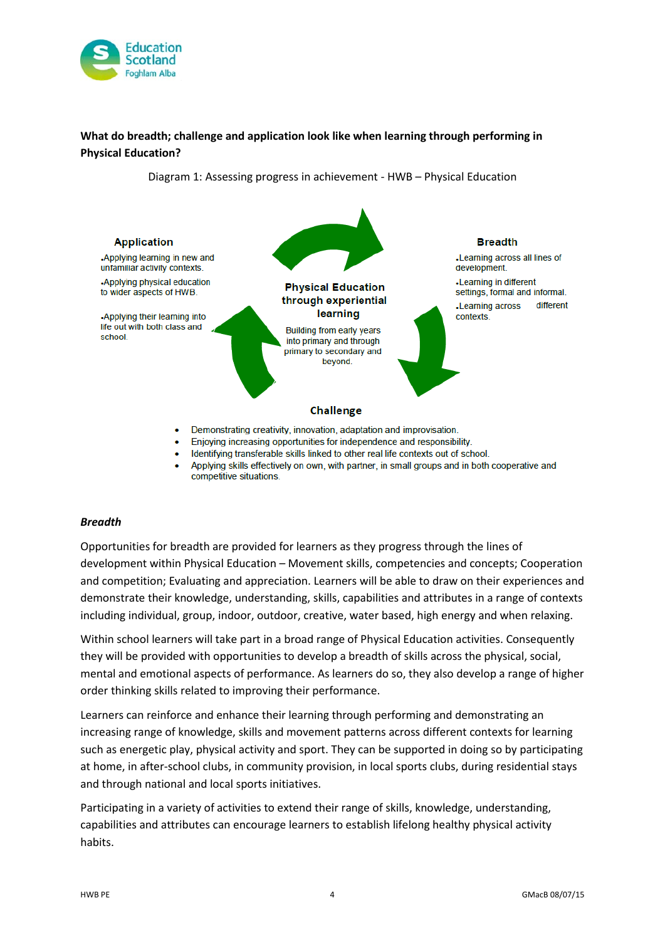

## **What do breadth; challenge and application look like when learning through performing in Physical Education?**



Diagram 1: Assessing progress in achievement - HWB – Physical Education

Applying skills effectively on own, with partner, in small groups and in both cooperative and competitive situations.

#### *Breadth*

Opportunities for breadth are provided for learners as they progress through the lines of development within Physical Education – Movement skills, competencies and concepts; Cooperation and competition; Evaluating and appreciation. Learners will be able to draw on their experiences and demonstrate their knowledge, understanding, skills, capabilities and attributes in a range of contexts including individual, group, indoor, outdoor, creative, water based, high energy and when relaxing.

Within school learners will take part in a broad range of Physical Education activities. Consequently they will be provided with opportunities to develop a breadth of skills across the physical, social, mental and emotional aspects of performance. As learners do so, they also develop a range of higher order thinking skills related to improving their performance.

Learners can reinforce and enhance their learning through performing and demonstrating an increasing range of knowledge, skills and movement patterns across different contexts for learning such as energetic play, physical activity and sport. They can be supported in doing so by participating at home, in after-school clubs, in community provision, in local sports clubs, during residential stays and through national and local sports initiatives.

Participating in a variety of activities to extend their range of skills, knowledge, understanding, capabilities and attributes can encourage learners to establish lifelong healthy physical activity habits.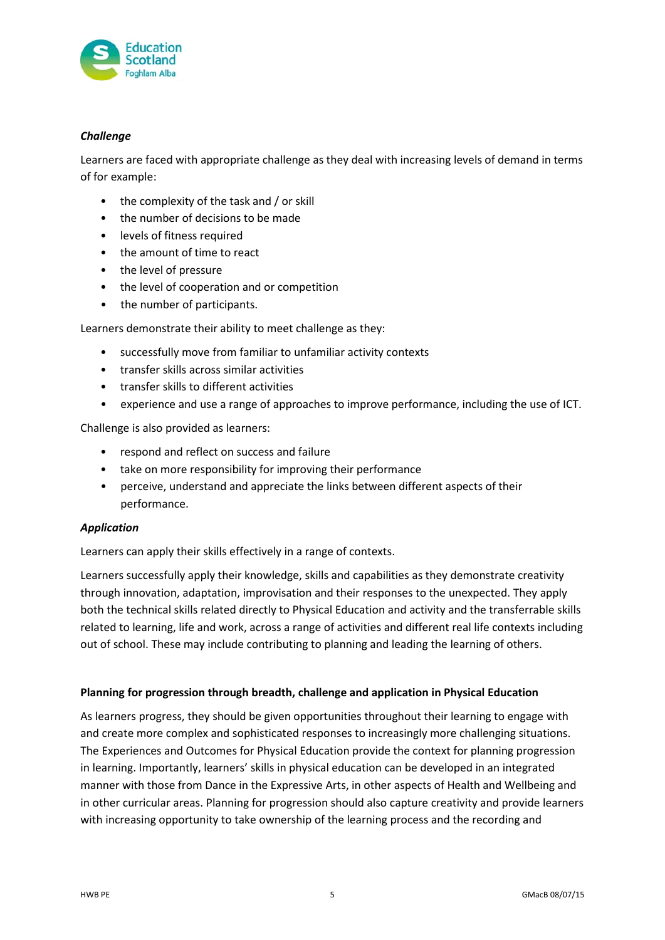

#### *Challenge*

Learners are faced with appropriate challenge as they deal with increasing levels of demand in terms of for example:

- the complexity of the task and / or skill
- the number of decisions to be made
- levels of fitness required
- the amount of time to react
- the level of pressure
- the level of cooperation and or competition
- the number of participants.

Learners demonstrate their ability to meet challenge as they:

- successfully move from familiar to unfamiliar activity contexts
- transfer skills across similar activities
- transfer skills to different activities
- experience and use a range of approaches to improve performance, including the use of ICT.

Challenge is also provided as learners:

- respond and reflect on success and failure
- take on more responsibility for improving their performance
- perceive, understand and appreciate the links between different aspects of their performance.

#### *Application*

Learners can apply their skills effectively in a range of contexts.

Learners successfully apply their knowledge, skills and capabilities as they demonstrate creativity through innovation, adaptation, improvisation and their responses to the unexpected. They apply both the technical skills related directly to Physical Education and activity and the transferrable skills related to learning, life and work, across a range of activities and different real life contexts including out of school. These may include contributing to planning and leading the learning of others.

#### **Planning for progression through breadth, challenge and application in Physical Education**

As learners progress, they should be given opportunities throughout their learning to engage with and create more complex and sophisticated responses to increasingly more challenging situations. The Experiences and Outcomes for Physical Education provide the context for planning progression in learning. Importantly, learners' skills in physical education can be developed in an integrated manner with those from Dance in the Expressive Arts, in other aspects of Health and Wellbeing and in other curricular areas. Planning for progression should also capture creativity and provide learners with increasing opportunity to take ownership of the learning process and the recording and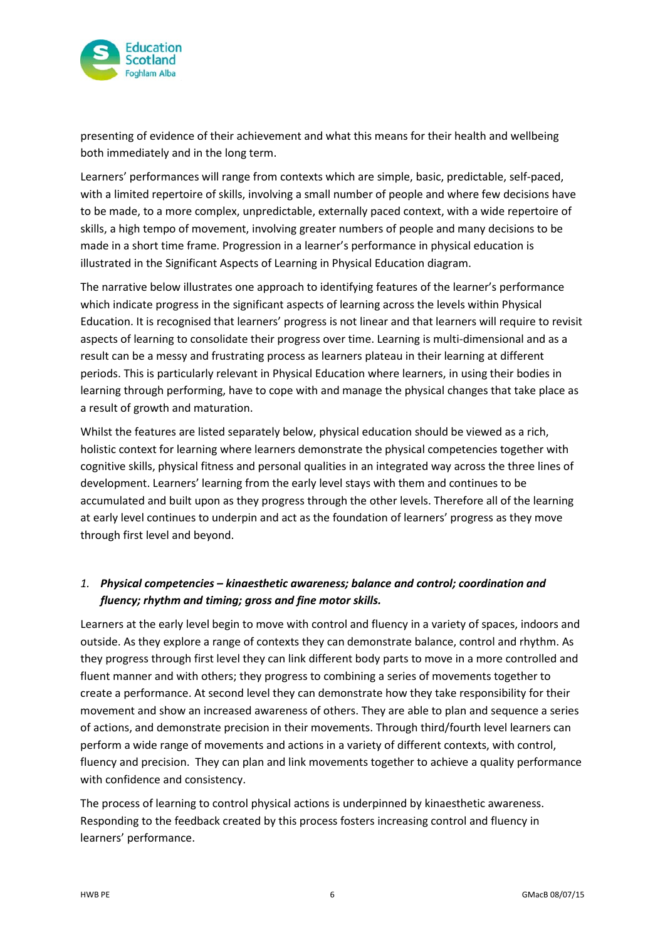

presenting of evidence of their achievement and what this means for their health and wellbeing both immediately and in the long term.

Learners' performances will range from contexts which are simple, basic, predictable, self-paced, with a limited repertoire of skills, involving a small number of people and where few decisions have to be made, to a more complex, unpredictable, externally paced context, with a wide repertoire of skills, a high tempo of movement, involving greater numbers of people and many decisions to be made in a short time frame. Progression in a learner's performance in physical education is illustrated in the Significant Aspects of Learning in Physical Education diagram.

The narrative below illustrates one approach to identifying features of the learner's performance which indicate progress in the significant aspects of learning across the levels within Physical Education. It is recognised that learners' progress is not linear and that learners will require to revisit aspects of learning to consolidate their progress over time. Learning is multi-dimensional and as a result can be a messy and frustrating process as learners plateau in their learning at different periods. This is particularly relevant in Physical Education where learners, in using their bodies in learning through performing, have to cope with and manage the physical changes that take place as a result of growth and maturation.

Whilst the features are listed separately below, physical education should be viewed as a rich, holistic context for learning where learners demonstrate the physical competencies together with cognitive skills, physical fitness and personal qualities in an integrated way across the three lines of development. Learners' learning from the early level stays with them and continues to be accumulated and built upon as they progress through the other levels. Therefore all of the learning at early level continues to underpin and act as the foundation of learners' progress as they move through first level and beyond.

## *1. Physical competencies – kinaesthetic awareness; balance and control; coordination and fluency; rhythm and timing; gross and fine motor skills.*

Learners at the early level begin to move with control and fluency in a variety of spaces, indoors and outside. As they explore a range of contexts they can demonstrate balance, control and rhythm. As they progress through first level they can link different body parts to move in a more controlled and fluent manner and with others; they progress to combining a series of movements together to create a performance. At second level they can demonstrate how they take responsibility for their movement and show an increased awareness of others. They are able to plan and sequence a series of actions, and demonstrate precision in their movements. Through third/fourth level learners can perform a wide range of movements and actions in a variety of different contexts, with control, fluency and precision. They can plan and link movements together to achieve a quality performance with confidence and consistency.

The process of learning to control physical actions is underpinned by kinaesthetic awareness. Responding to the feedback created by this process fosters increasing control and fluency in learners' performance.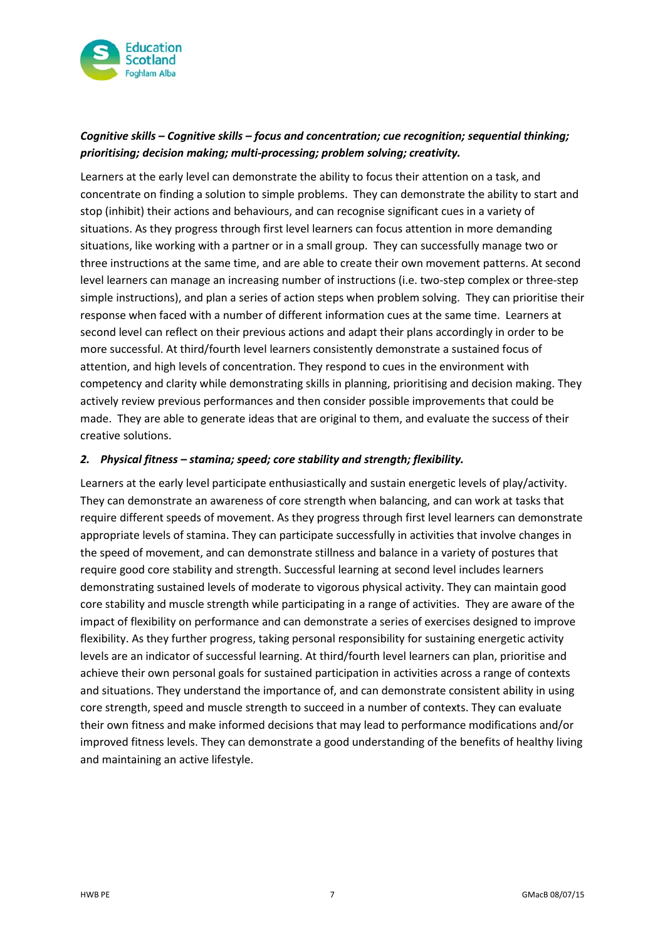

## *Cognitive skills – Cognitive skills – focus and concentration; cue recognition; sequential thinking; prioritising; decision making; multi-processing; problem solving; creativity.*

Learners at the early level can demonstrate the ability to focus their attention on a task, and concentrate on finding a solution to simple problems. They can demonstrate the ability to start and stop (inhibit) their actions and behaviours, and can recognise significant cues in a variety of situations. As they progress through first level learners can focus attention in more demanding situations, like working with a partner or in a small group. They can successfully manage two or three instructions at the same time, and are able to create their own movement patterns. At second level learners can manage an increasing number of instructions (i.e. two-step complex or three-step simple instructions), and plan a series of action steps when problem solving. They can prioritise their response when faced with a number of different information cues at the same time. Learners at second level can reflect on their previous actions and adapt their plans accordingly in order to be more successful. At third/fourth level learners consistently demonstrate a sustained focus of attention, and high levels of concentration. They respond to cues in the environment with competency and clarity while demonstrating skills in planning, prioritising and decision making. They actively review previous performances and then consider possible improvements that could be made. They are able to generate ideas that are original to them, and evaluate the success of their creative solutions.

#### *2. Physical fitness – stamina; speed; core stability and strength; flexibility.*

Learners at the early level participate enthusiastically and sustain energetic levels of play/activity. They can demonstrate an awareness of core strength when balancing, and can work at tasks that require different speeds of movement. As they progress through first level learners can demonstrate appropriate levels of stamina. They can participate successfully in activities that involve changes in the speed of movement, and can demonstrate stillness and balance in a variety of postures that require good core stability and strength. Successful learning at second level includes learners demonstrating sustained levels of moderate to vigorous physical activity. They can maintain good core stability and muscle strength while participating in a range of activities. They are aware of the impact of flexibility on performance and can demonstrate a series of exercises designed to improve flexibility. As they further progress, taking personal responsibility for sustaining energetic activity levels are an indicator of successful learning. At third/fourth level learners can plan, prioritise and achieve their own personal goals for sustained participation in activities across a range of contexts and situations. They understand the importance of, and can demonstrate consistent ability in using core strength, speed and muscle strength to succeed in a number of contexts. They can evaluate their own fitness and make informed decisions that may lead to performance modifications and/or improved fitness levels. They can demonstrate a good understanding of the benefits of healthy living and maintaining an active lifestyle.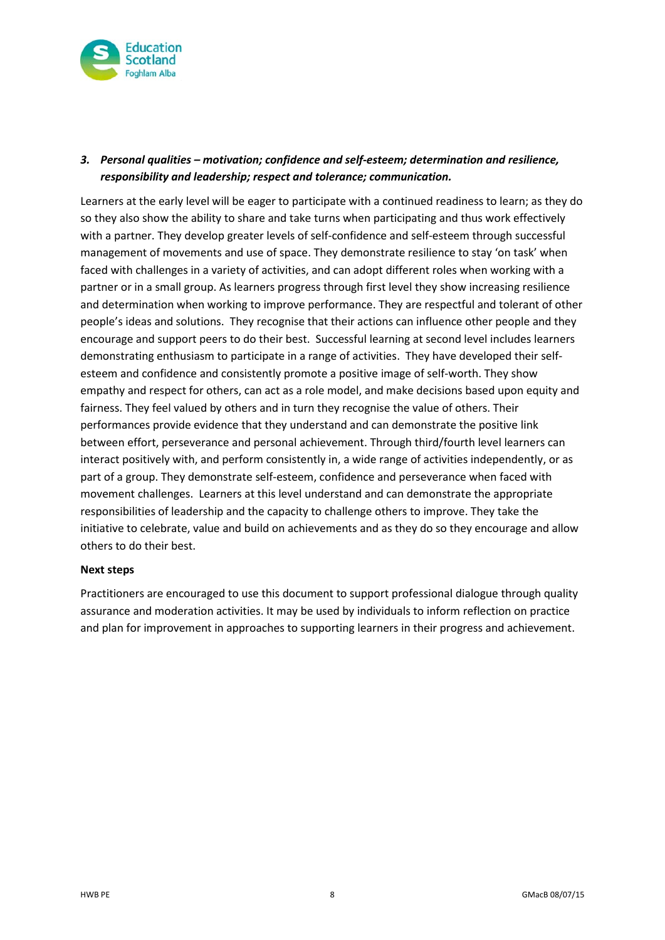

### *3. Personal qualities – motivation; confidence and self-esteem; determination and resilience, responsibility and leadership; respect and tolerance; communication.*

Learners at the early level will be eager to participate with a continued readiness to learn; as they do so they also show the ability to share and take turns when participating and thus work effectively with a partner. They develop greater levels of self-confidence and self-esteem through successful management of movements and use of space. They demonstrate resilience to stay 'on task' when faced with challenges in a variety of activities, and can adopt different roles when working with a partner or in a small group. As learners progress through first level they show increasing resilience and determination when working to improve performance. They are respectful and tolerant of other people's ideas and solutions. They recognise that their actions can influence other people and they encourage and support peers to do their best. Successful learning at second level includes learners demonstrating enthusiasm to participate in a range of activities. They have developed their selfesteem and confidence and consistently promote a positive image of self-worth. They show empathy and respect for others, can act as a role model, and make decisions based upon equity and fairness. They feel valued by others and in turn they recognise the value of others. Their performances provide evidence that they understand and can demonstrate the positive link between effort, perseverance and personal achievement. Through third/fourth level learners can interact positively with, and perform consistently in, a wide range of activities independently, or as part of a group. They demonstrate self-esteem, confidence and perseverance when faced with movement challenges. Learners at this level understand and can demonstrate the appropriate responsibilities of leadership and the capacity to challenge others to improve. They take the initiative to celebrate, value and build on achievements and as they do so they encourage and allow others to do their best.

#### **Next steps**

Practitioners are encouraged to use this document to support professional dialogue through quality assurance and moderation activities. It may be used by individuals to inform reflection on practice and plan for improvement in approaches to supporting learners in their progress and achievement.